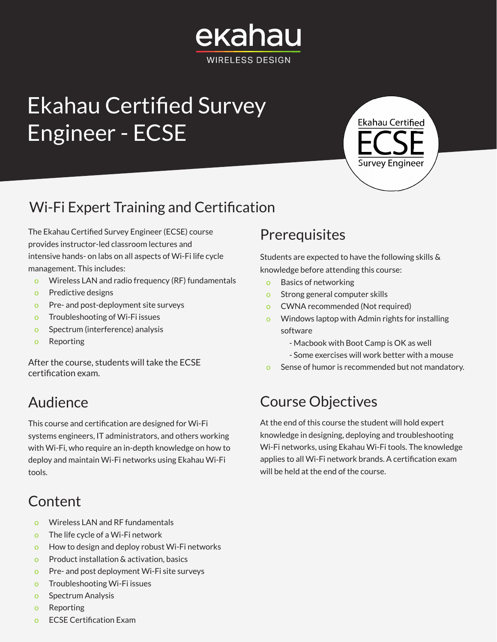## ekahau WIRFI FSS DESIGN

# Ekahau Certified Survey Engineer - ECSE



### Wi-Fi Expert Training and Certification

The Ekahau Certified Survey Engineer (ECSE) course provides instructor-led classroom lectures and intensive hands- on labs on all aspects of Wi-Fi life cycle management. This includes:

- o Wireless LAN and radio frequency (RF) fundamentals
- o Predictive designs
- o Pre- and post-deployment site surveys
- o Troubleshooting of Wi-Fi issues
- o Spectrum (interference) analysis
- o Reporting

After the course, students will take the ECSE certification exam.

### Audience

This course and certification are designed for Wi-Fi systems engineers, IT administrators, and others working with Wi-Fi, who require an in-depth knowledge on how to deploy and maintain Wi-Fi networks using Ekahau Wi-Fi tools.

### **Content**

- o Wireless LAN and RF fundamentals
- o The life cycle of a Wi-Fi network
- o How to design and deploy robust Wi-Fi networks
- o Product installation & activation, basics
- o Pre- and post deployment Wi-Fi site surveys
- o Troubleshooting Wi-Fi issues
- o Spectrum Analysis
- o Reporting
- o ECSE Certification Exam

#### **Prerequisites**

Students are expected to have the following skills & knowledge before attending this course:

- o Basics of networking
- o Strong general computer skills
- o CWNA recommended (Not required)
- Windows laptop with Admin rights for installing software
	- Macbook with Boot Camp is OK as well
	- Some exercises will work better with a mouse
- o Sense of humor is recommended but not mandatory.

#### Course Objectives

At the end of this course the student will hold expert knowledge in designing, deploying and troubleshooting Wi-Fi networks, using Ekahau Wi-Fi tools. The knowledge applies to all Wi-Fi network brands. A certification exam will be held at the end of the course.